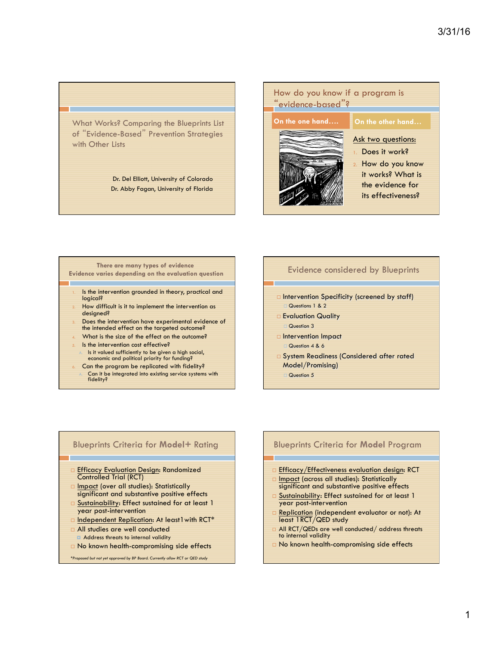What Works? Comparing the Blueprints List of "Evidence-Based" Prevention Strategies with Other Lists

> Dr. Del Elliott, University of Colorado Dr. Abby Fagan, University of Florida

# How do you know if a program is "evidence-based"?

#### **On the one hand…. On the other hand…**



# Ask two questions:

- Does it work?
- How do you know it works? What is the evidence for its effectiveness?

#### **There are many types of evidence Evidence varies depending on the evaluation question**  Is the intervention grounded in theory, practical and logical?

- How difficult is it to implement the intervention as designed?
- Does the intervention have experimental evidence of the intended effect on the targeted outcome?
- What is the size of the effect on the outcome?
- Is the intervention cost effective?
	- Is it valued sufficiently to be given a high social, economic and political priority for funding?
	- Can the program be replicated with fidelity?
	- A. Can it be integrated into existing service systems with fidelity?

### Evidence considered by Blueprints

- □ Intervention Specificity (screened by staff) Questions 1 & 2
- □ Evaluation Quality Question 3
- □ Intervention Impact  $Quartion  $4 \times 6$$
- □ System Readiness (Considered after rated Model/Promising)
	- Question 5

### Blueprints Criteria for **Model+** Rating

- **Efficacy Evaluation Design: Randomized** Controlled Trial (RCT)
- Impact (over all studies): Statistically significant and substantive positive effects
- Sustainability: Effect sustained for at least 1 year post-intervention
- □ Independent Replication: At least I with RCT\*
- □ All studies are well conducted
- **E** Address threats to internal validity
- □ No known health-compromising side effects

*\*Proposed but not yet approved by BP Board. Currently allow RCT or QED study* 

### Blueprints Criteria for **Model** Program

- **Efficacy/Effectiveness evaluation design: RCT**
- Impact (across all studies): Statistically
- significant and substantive positive effects Sustainability: Effect sustained for at least 1
- year post-intervention **E** Replication (independent evaluator or not): At least 1RCT/QED study
- All RCT/QEDs are well conducted/ address threats to internal validity
- □ No known health-compromising side effects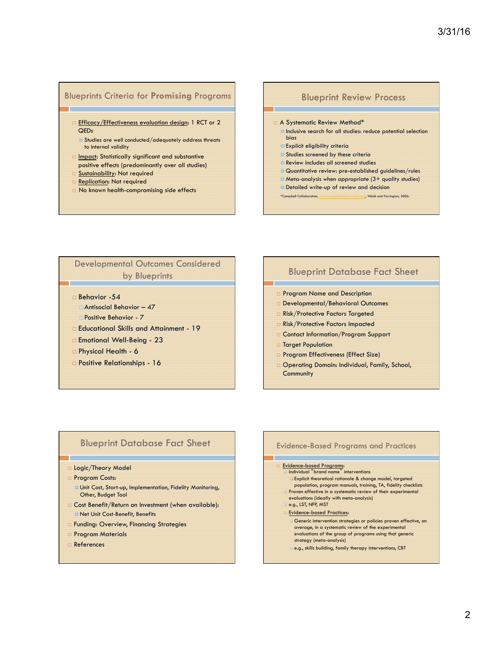# Blueprints Criteria for **Promising** Programs

- □ Efficacy/Effectiveness evaluation design: 1 RCT or 2 QEDs
	- ¤ Studies are well conducted/adequately address threats to internal validity
- $\Box$  Impact: Statistically significant and substantive positive effects (predominantly over all studies)
- □ Sustainability: Not required
- **E** Replication: Not required
- □ No known health-compromising side effects

#### Blueprint Review Process

- □ A Systematic Review Method<sup>\*</sup>
- ¤ Inclusive search for all studies: reduce potential selection bias
- ¤ Explicit eligibility criteria
- **E** Studies screened by these criteria
- **E** Review includes all screened studies
- **¤ Quantitative review: pre-established guidelines/rules**
- ¤ Meta-analysis when appropriate (3+ quality studies)
- **¤** Detailed write-up of review and decision

\*Campbell Collaboration, www.campbellcollaboration.org, Welsh and Farrington, 2006.

# Developmental Outcomes Considered by Blueprints

- □ Behavior -54
- $\Box$  Antisocial Behavior 47
- □ Positive Behavior 7
- ¨ Educational Skills and Attainment 19
- □ Emotional Well-Being 23
- □ Physical Health 6
- □ Positive Relationships 16

# Blueprint Database Fact Sheet

- Program Name and Description
- Developmental/Behavioral Outcomes
- □ Risk/Protective Factors Targeted
- □ Risk/Protective Factors Impacted
- □ Contact Information/Program Support
- □ Target Population
- Program Effectiveness (Effect Size)
- □ Operating Domain: Individual, Family, School, **Community**

## Blueprint Database Fact Sheet

#### □ Logic/Theory Model

- □ Program Costs:
	- ¤ Unit Cost, Start-up, Implementation, Fidelity Monitoring, Other, Budget Tool
- □ Cost Benefit/Return on Investment (when available): ¤ Net Unit Cost-Benefit, Benefits
- □ Funding: Overview, Financing Strategies
- □ Program Materials
- □ References

#### Evidence-Based Programs and Practices

# □ Evidence-based Programs:<br>□ Individual "brand name" interventions

q Explicit theoretical rationale & change model, targeted population, program manuals, training, TA, fidelity checklists Proven effective in a systematic review of their experimental evaluations (ideally with meta-analysis)  $Q$  e.g., LST, NFP, MST **Evidence-based Practices:** Generic intervention strategies or policies proven effective, on average, in a systematic review of the experimental evaluations of the group of programs using that generic strategy (meta-analysis) e.g., skills building, family therapy interventions, CBT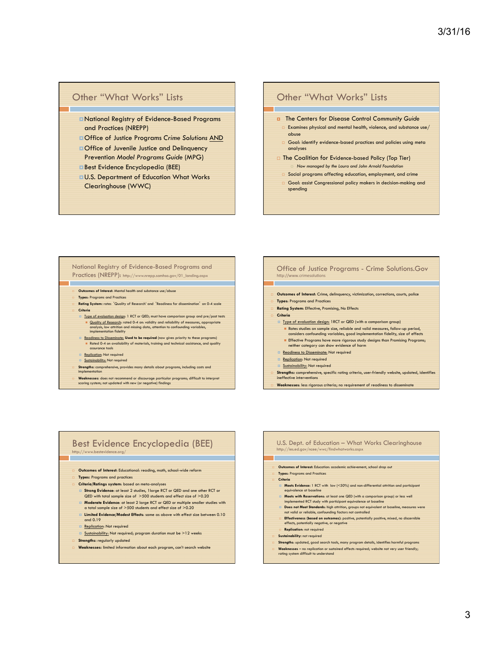#### Other "What Works" Lists

- ¤National Registry of Evidence-Based Programs and Practices (NREPP)
- ¤Office of Justice Programs *Crime Solutions* AND
- **¤Office of Juvenile Justice and Delinquency** Prevention *Model Programs Guide* (MPG)
- ¤Best Evidence Encyclopedia (BEE)
- ¤U.S. Department of Education What Works Clearinghouse (WWC)

#### Other "What Works" Lists

- ¤ The Centers for Disease Control *Community Guide*
- $\Box$  Examines physical and mental health, violence, and substance use/ abuse
- Goal: identify evidence-based practices and policies using meta analyses
- □ The Coalition for Evidence-based Policy (Top Tier) ¨ *Now managed by the Laura and John Arnold Foundation* 
	- $\Box$  Social programs affecting education, employment, and crime
- □ Goal: assist Congressional policy makers in decision-making and spending

#### National Registry of Evidence-Based Programs and Practices (NREPP): http://www.nrepp.samhsa.gov/01\_landing.aspx

- **Outcomes of Interest:** Mental health and substance use/abuse
- ¨ **Types**: Programs and Practices
- ¨ **Rating System:** rates 'Quality of Research' and 'Readiness for dissemination' on 0-4 scale ¨ **Criteria**
	- Type of evaluation design: 1 RCT or QED; must have comparison group and pre/post tests Ouality of Research: rated 0-4 on: validity and reliability of measures, appropriate analysis, low attrition and missing data, attention to confounding variables, implementation fidelity
	- ¤ Readiness to Disseminate: **Used to be required** (now gives priority to these programs) **n** Rated 0-4 on availability of materials, training and technical assistance, and quality
	- **assurance tools**<br>**<u>¤ Replication</u>: Not required**
	- Sustainability: Not required
	-
- **Strengths:** comprehensive, provides many details about programs, including costs and implementation
- **Weaknesses:** does not recommend or discourage particular programs; difficult to interpret scoring system; not updated with new (or negative) findings
	-

#### Office of Justice Programs - Crime Solutions.Gov http://www.crimesolutions

- ¨ **Outcomes of Interest**: Crime, delinquency, victimization, corrections, courts, police
- **Types: Programs and Practices**
- **Rating System: Effective, Promising, No Effects**
- ¨ **Criteria**
- □ Type of evaluation design: 1RCT or QED (with a comparison group) **n** Rates studies on sample size, reliable and valid measures, follow-up period, considers confounding variables, good implementation fidelity, size of effects **Effective Programs have more rigorous study designs than Promising Programs;** neither category can show evidence of harm
- **E** Readiness to Disseminate: Not required
- **E** Replication: Not required
- Sustainability: Not required
- Strengths: comprehensive, specific rating criteria, user-friendly website, updated, identifies tive interventions
- ¨ **Weaknesses**: less rigorous criteria; no requirement of readiness to disseminate

#### Best Evidence Encyclopedia (BEE) http://www.bestevidence.org/

- ¨ **Outcomes of Interest**: Educational: reading, math, school-wide reform
- **Types: Programs and practices**
- ¨ **Criteria/Ratings system**: based on meta-analyses
- ¤ **Strong Evidence**: at least 2 studies, 1large RCT or QED and one other RCT or QED with total sample size of >500 students and effect size of >0.20
- ¤ **Moderate Evidence**: at least 2 large RCT or QED or multiple smaller studies with a total sample size of >500 students and effect size of >0.20
- ¤ **Limited Evidence/Modest Effects**: same as above with effect size between 0.10 and 0.19
- **E** Replication: Not required
- <u>Sustainability:</u> Not required; program duration must be >12 weeks
- Strengths: regularly updated
- ¨ **Weaknesses:** limited information about each program, can't search website

#### U.S. Dept. of Education – What Works Clearinghouse http://ies.ed.gov/ncee/wwc/findwhatworks.asp:

- **Outcomes of Interest:** Education: academic achievement, school drop out
- ¨ **Types**: Programs and Practices
- ¨ **Criteria**
- ¤ **Meets Evidence:** 1 RCT with low (<50%) and non-differential attrition and participant equivalence at baseline
- ¤ **Meets with Reservations**: at least one QED (with a comparison group) or less well
- with reservations: at least one acceptance at baseline
- **¤ Does not Meet Standards:** high attrition, groups not equivalent at baseline, measures were not valid or reliable, confounding factors not controlled
- **Effectiveness (based on outcomes)**: positive, potentially positive, mixed, no discernible effects, potentially negative, or negative **Replication:** not required
- **Sustainability:** not required
- 
- ¨ **Strengths**: updated, good search tools, many program details, identifies harmful programs ■ **Weaknesses** – no replication or sustained effects required; website not very user friendly;<br>rating system difficult to understand